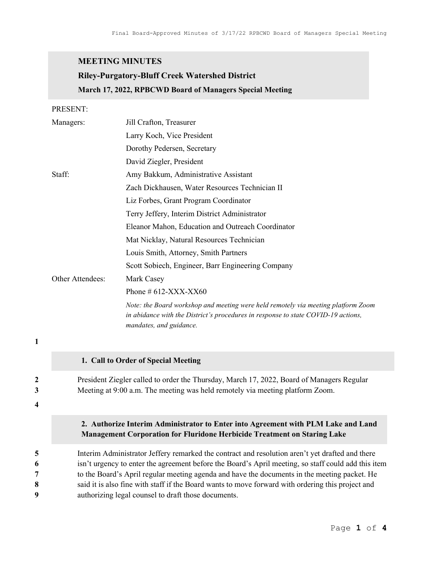## MEETING MINUTES

# Riley-Purgatory-Bluff Creek Watershed District March 17, 2022, RPBCWD Board of Managers Special Meeting

PRESENT:

1

4

|                            | Managers: | Jill Crafton, Treasurer                                                                                                                                                                                                                                                                                                                                                                                                                                            |
|----------------------------|-----------|--------------------------------------------------------------------------------------------------------------------------------------------------------------------------------------------------------------------------------------------------------------------------------------------------------------------------------------------------------------------------------------------------------------------------------------------------------------------|
|                            |           | Larry Koch, Vice President                                                                                                                                                                                                                                                                                                                                                                                                                                         |
|                            |           | Dorothy Pedersen, Secretary                                                                                                                                                                                                                                                                                                                                                                                                                                        |
|                            |           | David Ziegler, President                                                                                                                                                                                                                                                                                                                                                                                                                                           |
|                            | Staff:    | Amy Bakkum, Administrative Assistant                                                                                                                                                                                                                                                                                                                                                                                                                               |
|                            |           | Zach Dickhausen, Water Resources Technician II                                                                                                                                                                                                                                                                                                                                                                                                                     |
|                            |           | Liz Forbes, Grant Program Coordinator                                                                                                                                                                                                                                                                                                                                                                                                                              |
|                            |           | Terry Jeffery, Interim District Administrator                                                                                                                                                                                                                                                                                                                                                                                                                      |
|                            |           | Eleanor Mahon, Education and Outreach Coordinator                                                                                                                                                                                                                                                                                                                                                                                                                  |
|                            |           | Mat Nicklay, Natural Resources Technician                                                                                                                                                                                                                                                                                                                                                                                                                          |
|                            |           | Louis Smith, Attorney, Smith Partners                                                                                                                                                                                                                                                                                                                                                                                                                              |
|                            |           | Scott Sobiech, Engineer, Barr Engineering Company                                                                                                                                                                                                                                                                                                                                                                                                                  |
| Other Attendees:           |           | Mark Casey                                                                                                                                                                                                                                                                                                                                                                                                                                                         |
|                            |           | Phone $\#$ 612-XXX-XX60                                                                                                                                                                                                                                                                                                                                                                                                                                            |
|                            |           | Note: the Board workshop and meeting were held remotely via meeting platform Zoom<br>in abidance with the District's procedures in response to state COVID-19 actions,<br>mandates, and guidance.                                                                                                                                                                                                                                                                  |
| 1                          |           |                                                                                                                                                                                                                                                                                                                                                                                                                                                                    |
|                            |           | 1. Call to Order of Special Meeting                                                                                                                                                                                                                                                                                                                                                                                                                                |
| $\boldsymbol{2}$<br>3<br>4 |           | President Ziegler called to order the Thursday, March 17, 2022, Board of Managers Regular<br>Meeting at 9:00 a.m. The meeting was held remotely via meeting platform Zoom.                                                                                                                                                                                                                                                                                         |
|                            |           | 2. Authorize Interim Administrator to Enter into Agreement with PLM Lake and Land<br><b>Management Corporation for Fluridone Herbicide Treatment on Staring Lake</b>                                                                                                                                                                                                                                                                                               |
| 5<br>6<br>7<br>8<br>9      |           | Interim Administrator Jeffery remarked the contract and resolution aren't yet drafted and there<br>isn't urgency to enter the agreement before the Board's April meeting, so staff could add this item<br>to the Board's April regular meeting agenda and have the documents in the meeting packet. He<br>said it is also fine with staff if the Board wants to move forward with ordering this project and<br>authorizing legal counsel to draft those documents. |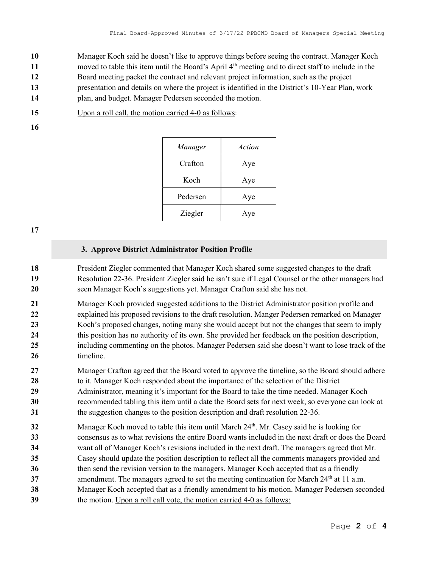Manager Koch said he doesn't like to approve things before seeing the contract. Manager Koch 11 moved to table this item until the Board's April  $4<sup>th</sup>$  meeting and to direct staff to include in the Board meeting packet the contract and relevant project information, such as the project presentation and details on where the project is identified in the District's 10-Year Plan, work plan, and budget. Manager Pedersen seconded the motion.

15 Upon a roll call, the motion carried 4-0 as follows:

16

| Manager  | Action |
|----------|--------|
| Crafton  | Aye    |
| Koch     | Aye    |
| Pedersen | Aye    |
| Ziegler  | Aye    |

17

## 3. Approve District Administrator Position Profile

18 President Ziegler commented that Manager Koch shared some suggested changes to the draft 19 Resolution 22-36. President Ziegler said he isn't sure if Legal Counsel or the other managers had 20 seen Manager Koch's suggestions yet. Manager Crafton said she has not.

21 Manager Koch provided suggested additions to the District Administrator position profile and 22 explained his proposed revisions to the draft resolution. Manger Pedersen remarked on Manager 23 Koch's proposed changes, noting many she would accept but not the changes that seem to imply 24 this position has no authority of its own. She provided her feedback on the position description, 25 including commenting on the photos. Manager Pedersen said she doesn't want to lose track of the 26 timeline.

- 27 Manager Crafton agreed that the Board voted to approve the timeline, so the Board should adhere 28 to it. Manager Koch responded about the importance of the selection of the District 29 Administrator, meaning it's important for the Board to take the time needed. Manager Koch 30 recommended tabling this item until a date the Board sets for next week, so everyone can look at
- 31 the suggestion changes to the position description and draft resolution 22-36.
- 32 Manager Koch moved to table this item until March  $24<sup>th</sup>$ . Mr. Casey said he is looking for 33 consensus as to what revisions the entire Board wants included in the next draft or does the Board 34 want all of Manager Koch's revisions included in the next draft. The managers agreed that Mr. 35 Casey should update the position description to reflect all the comments managers provided and 36 then send the revision version to the managers. Manager Koch accepted that as a friendly 37 amendment. The managers agreed to set the meeting continuation for March  $24<sup>th</sup>$  at 11 a.m.
- 38 Manager Koch accepted that as a friendly amendment to his motion. Manager Pedersen seconded
- 39 the motion. Upon a roll call vote, the motion carried 4-0 as follows: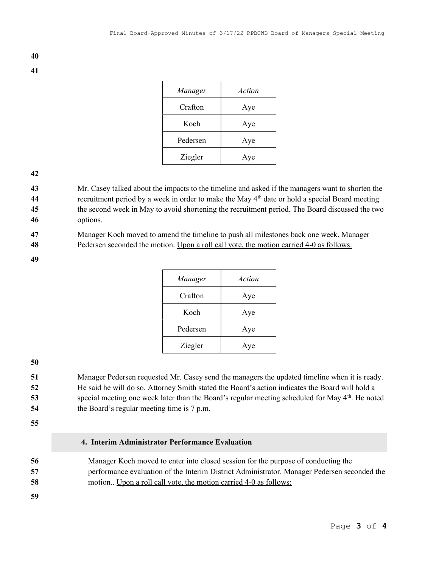| Manager  | Action |
|----------|--------|
| Crafton  | Aye    |
| Koch     | Aye    |
| Pedersen | Aye    |
| Ziegler  | Ave    |

#### 42

43 Mr. Casey talked about the impacts to the timeline and asked if the managers want to shorten the 44 recruitment period by a week in order to make the May  $4<sup>th</sup>$  date or hold a special Board meeting 45 the second week in May to avoid shortening the recruitment period. The Board discussed the two

46 options.

47 Manager Koch moved to amend the timeline to push all milestones back one week. Manager

48 Pedersen seconded the motion. Upon a roll call vote, the motion carried 4-0 as follows:

49

| Manager  | Action |
|----------|--------|
| Crafton  | Aye    |
| Koch     | Aye    |
| Pedersen | Aye    |
| Ziegler  | Aye    |

### 50

Manager Pedersen requested Mr. Casey send the managers the updated timeline when it is ready. He said he will do so. Attorney Smith stated the Board's action indicates the Board will hold a 53 special meeting one week later than the Board's regular meeting scheduled for May 4<sup>th</sup>. He noted the Board's regular meeting time is 7 p.m.

55

## 4. Interim Administrator Performance Evaluation

56 Manager Koch moved to enter into closed session for the purpose of conducting the 57 performance evaluation of the Interim District Administrator. Manager Pedersen seconded the 58 motion.. Upon a roll call vote, the motion carried 4-0 as follows:

59